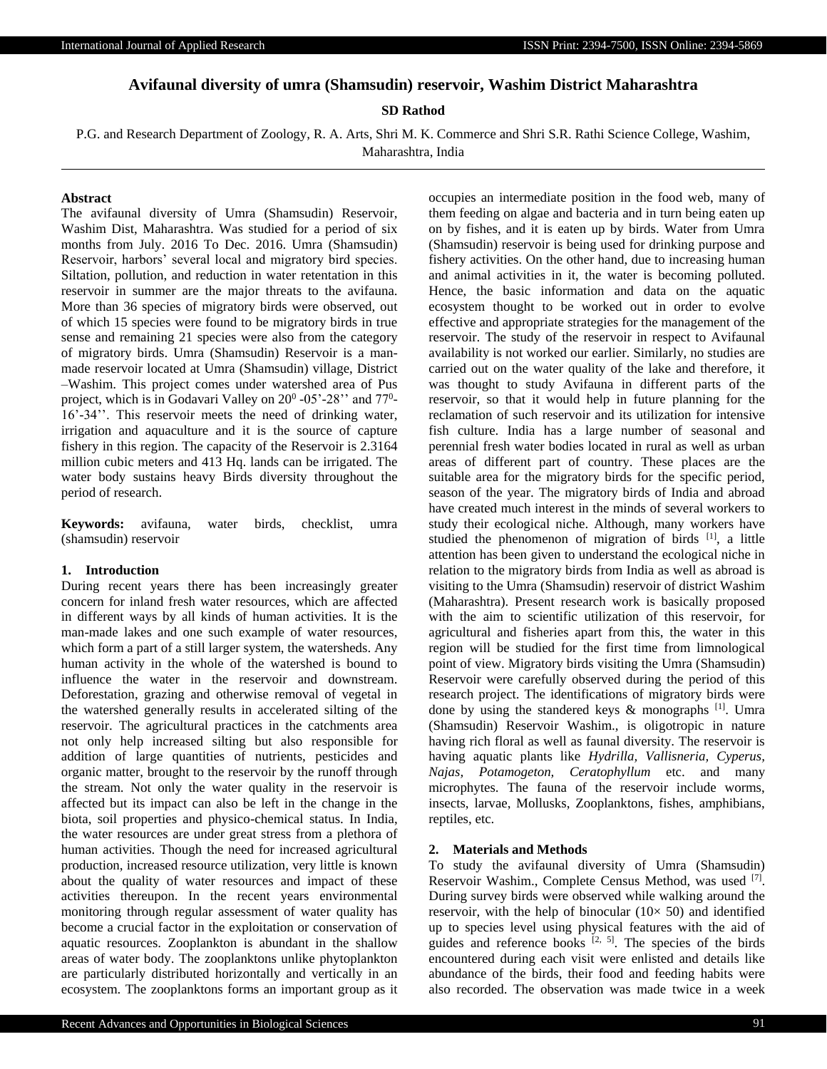# **Avifaunal diversity of umra (Shamsudin) reservoir, Washim District Maharashtra**

**SD Rathod**

P.G. and Research Department of Zoology, R. A. Arts, Shri M. K. Commerce and Shri S.R. Rathi Science College, Washim,

Maharashtra, India

# **Abstract**

The avifaunal diversity of Umra (Shamsudin) Reservoir, Washim Dist, Maharashtra. Was studied for a period of six months from July. 2016 To Dec. 2016. Umra (Shamsudin) Reservoir, harbors' several local and migratory bird species. Siltation, pollution, and reduction in water retentation in this reservoir in summer are the major threats to the avifauna. More than 36 species of migratory birds were observed, out of which 15 species were found to be migratory birds in true sense and remaining 21 species were also from the category of migratory birds. Umra (Shamsudin) Reservoir is a manmade reservoir located at Umra (Shamsudin) village, District –Washim. This project comes under watershed area of Pus project, which is in Godavari Valley on  $20^0$  -05'-28" and  $77^0$ -16'-34''. This reservoir meets the need of drinking water, irrigation and aquaculture and it is the source of capture fishery in this region. The capacity of the Reservoir is 2.3164 million cubic meters and 413 Hq. lands can be irrigated. The water body sustains heavy Birds diversity throughout the period of research.

**Keywords:** avifauna, water birds, checklist, umra (shamsudin) reservoir

#### **1. Introduction**

During recent years there has been increasingly greater concern for inland fresh water resources, which are affected in different ways by all kinds of human activities. It is the man-made lakes and one such example of water resources, which form a part of a still larger system, the watersheds. Any human activity in the whole of the watershed is bound to influence the water in the reservoir and downstream. Deforestation, grazing and otherwise removal of vegetal in the watershed generally results in accelerated silting of the reservoir. The agricultural practices in the catchments area not only help increased silting but also responsible for addition of large quantities of nutrients, pesticides and organic matter, brought to the reservoir by the runoff through the stream. Not only the water quality in the reservoir is affected but its impact can also be left in the change in the biota, soil properties and physico-chemical status. In India, the water resources are under great stress from a plethora of human activities. Though the need for increased agricultural production, increased resource utilization, very little is known about the quality of water resources and impact of these activities thereupon. In the recent years environmental monitoring through regular assessment of water quality has become a crucial factor in the exploitation or conservation of aquatic resources. Zooplankton is abundant in the shallow areas of water body. The zooplanktons unlike phytoplankton are particularly distributed horizontally and vertically in an ecosystem. The zooplanktons forms an important group as it

occupies an intermediate position in the food web, many of them feeding on algae and bacteria and in turn being eaten up on by fishes, and it is eaten up by birds. Water from Umra (Shamsudin) reservoir is being used for drinking purpose and fishery activities. On the other hand, due to increasing human and animal activities in it, the water is becoming polluted. Hence, the basic information and data on the aquatic ecosystem thought to be worked out in order to evolve effective and appropriate strategies for the management of the reservoir. The study of the reservoir in respect to Avifaunal availability is not worked our earlier. Similarly, no studies are carried out on the water quality of the lake and therefore, it was thought to study Avifauna in different parts of the reservoir, so that it would help in future planning for the reclamation of such reservoir and its utilization for intensive fish culture. India has a large number of seasonal and perennial fresh water bodies located in rural as well as urban areas of different part of country. These places are the suitable area for the migratory birds for the specific period, season of the year. The migratory birds of India and abroad have created much interest in the minds of several workers to study their ecological niche. Although, many workers have studied the phenomenon of migration of birds <sup>[1]</sup>, a little attention has been given to understand the ecological niche in relation to the migratory birds from India as well as abroad is visiting to the Umra (Shamsudin) reservoir of district Washim (Maharashtra). Present research work is basically proposed with the aim to scientific utilization of this reservoir, for agricultural and fisheries apart from this, the water in this region will be studied for the first time from limnological point of view. Migratory birds visiting the Umra (Shamsudin) Reservoir were carefully observed during the period of this research project. The identifications of migratory birds were done by using the standered keys  $\&$  monographs  $[1]$ . Umra (Shamsudin) Reservoir Washim., is oligotropic in nature having rich floral as well as faunal diversity. The reservoir is having aquatic plants like *Hydrilla, Vallisneria, Cyperus, Najas, Potamogeton, Ceratophyllum* etc. and many microphytes. The fauna of the reservoir include worms, insects, larvae, Mollusks, Zooplanktons, fishes, amphibians, reptiles, etc.

#### **2. Materials and Methods**

To study the avifaunal diversity of Umra (Shamsudin) Reservoir Washim., Complete Census Method, was used [7]. During survey birds were observed while walking around the reservoir, with the help of binocular  $(10 \times 50)$  and identified up to species level using physical features with the aid of guides and reference books  $[2, 5]$ . The species of the birds encountered during each visit were enlisted and details like abundance of the birds, their food and feeding habits were also recorded. The observation was made twice in a week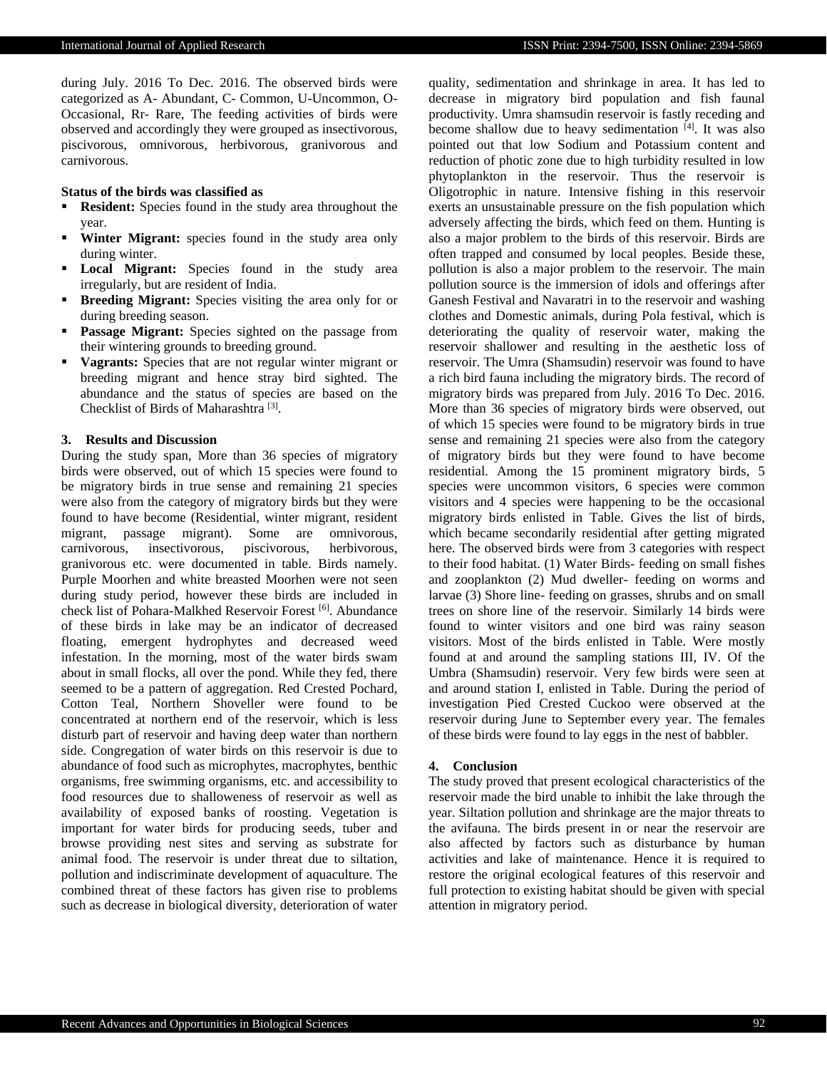during July. 2016 To Dec. 2016. The observed birds were categorized as A- Abundant, C- Common, U-Uncommon, O-Occasional, Rr- Rare, The feeding activities of birds were observed and accordingly they were grouped as insectivorous, piscivorous, omnivorous, herbivorous, granivorous and carnivorous.

### **Status of the birds was classified as**

- **Resident:** Species found in the study area throughout the year.
- **Winter Migrant:** species found in the study area only during winter.
- **Local Migrant:** Species found in the study area irregularly, but are resident of India.
- **Breeding Migrant:** Species visiting the area only for or during breeding season.
- **Passage Migrant:** Species sighted on the passage from their wintering grounds to breeding ground.
- **Vagrants:** Species that are not regular winter migrant or breeding migrant and hence stray bird sighted. The abundance and the status of species are based on the Checklist of Birds of Maharashtra<sup>[3]</sup>.

### **3. Results and Discussion**

During the study span, More than 36 species of migratory birds were observed, out of which 15 species were found to be migratory birds in true sense and remaining 21 species were also from the category of migratory birds but they were found to have become (Residential, winter migrant, resident migrant, passage migrant). Some are omnivorous, carnivorous, insectivorous, piscivorous, herbivorous, granivorous etc. were documented in table. Birds namely. Purple Moorhen and white breasted Moorhen were not seen during study period, however these birds are included in check list of Pohara-Malkhed Reservoir Forest<sup>[6]</sup>. Abundance of these birds in lake may be an indicator of decreased floating, emergent hydrophytes and decreased weed infestation. In the morning, most of the water birds swam about in small flocks, all over the pond. While they fed, there seemed to be a pattern of aggregation. Red Crested Pochard, Cotton Teal, Northern Shoveller were found to be concentrated at northern end of the reservoir, which is less disturb part of reservoir and having deep water than northern side. Congregation of water birds on this reservoir is due to abundance of food such as microphytes, macrophytes, benthic organisms, free swimming organisms, etc. and accessibility to food resources due to shalloweness of reservoir as well as availability of exposed banks of roosting. Vegetation is important for water birds for producing seeds, tuber and browse providing nest sites and serving as substrate for animal food. The reservoir is under threat due to siltation, pollution and indiscriminate development of aquaculture. The combined threat of these factors has given rise to problems such as decrease in biological diversity, deterioration of water

quality, sedimentation and shrinkage in area. It has led to decrease in migratory bird population and fish faunal productivity. Umra shamsudin reservoir is fastly receding and become shallow due to heavy sedimentation [4]. It was also pointed out that low Sodium and Potassium content and reduction of photic zone due to high turbidity resulted in low phytoplankton in the reservoir. Thus the reservoir is Oligotrophic in nature. Intensive fishing in this reservoir exerts an unsustainable pressure on the fish population which adversely affecting the birds, which feed on them. Hunting is also a major problem to the birds of this reservoir. Birds are often trapped and consumed by local peoples. Beside these, pollution is also a major problem to the reservoir. The main pollution source is the immersion of idols and offerings after Ganesh Festival and Navaratri in to the reservoir and washing clothes and Domestic animals, during Pola festival, which is deteriorating the quality of reservoir water, making the reservoir shallower and resulting in the aesthetic loss of reservoir. The Umra (Shamsudin) reservoir was found to have a rich bird fauna including the migratory birds. The record of migratory birds was prepared from July. 2016 To Dec. 2016. More than 36 species of migratory birds were observed, out of which 15 species were found to be migratory birds in true sense and remaining 21 species were also from the category of migratory birds but they were found to have become residential. Among the 15 prominent migratory birds, 5 species were uncommon visitors, 6 species were common visitors and 4 species were happening to be the occasional migratory birds enlisted in Table. Gives the list of birds, which became secondarily residential after getting migrated here. The observed birds were from 3 categories with respect to their food habitat. (1) Water Birds- feeding on small fishes and zooplankton (2) Mud dweller- feeding on worms and larvae (3) Shore line- feeding on grasses, shrubs and on small trees on shore line of the reservoir. Similarly 14 birds were found to winter visitors and one bird was rainy season visitors. Most of the birds enlisted in Table. Were mostly found at and around the sampling stations III, IV. Of the Umbra (Shamsudin) reservoir. Very few birds were seen at and around station I, enlisted in Table. During the period of investigation Pied Crested Cuckoo were observed at the reservoir during June to September every year. The females of these birds were found to lay eggs in the nest of babbler.

#### **4. Conclusion**

The study proved that present ecological characteristics of the reservoir made the bird unable to inhibit the lake through the year. Siltation pollution and shrinkage are the major threats to the avifauna. The birds present in or near the reservoir are also affected by factors such as disturbance by human activities and lake of maintenance. Hence it is required to restore the original ecological features of this reservoir and full protection to existing habitat should be given with special attention in migratory period.